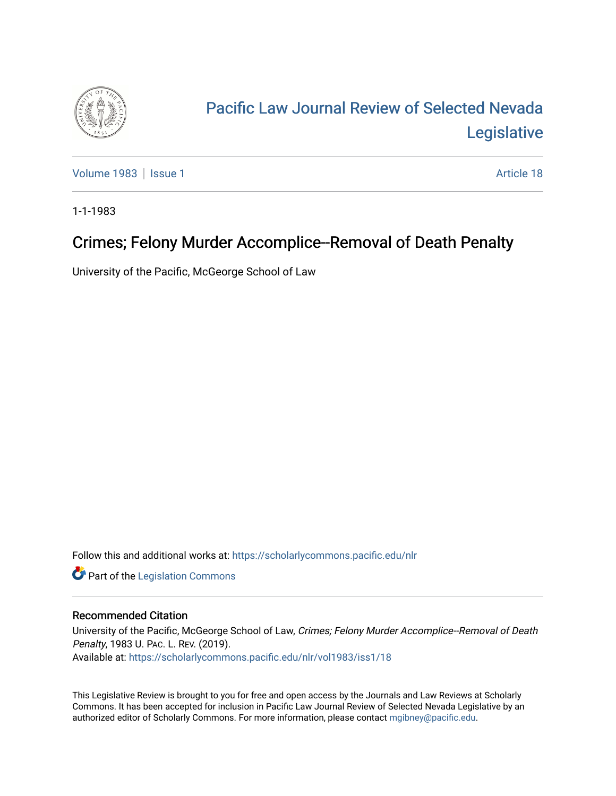

# [Pacific Law Journal Review of Selected Nevada](https://scholarlycommons.pacific.edu/nlr)  [Legislative](https://scholarlycommons.pacific.edu/nlr)

[Volume 1983](https://scholarlycommons.pacific.edu/nlr/vol1983) | [Issue 1](https://scholarlycommons.pacific.edu/nlr/vol1983/iss1) Article 18

1-1-1983

## Crimes; Felony Murder Accomplice--Removal of Death Penalty

University of the Pacific, McGeorge School of Law

Follow this and additional works at: [https://scholarlycommons.pacific.edu/nlr](https://scholarlycommons.pacific.edu/nlr?utm_source=scholarlycommons.pacific.edu%2Fnlr%2Fvol1983%2Fiss1%2F18&utm_medium=PDF&utm_campaign=PDFCoverPages) 

**Part of the [Legislation Commons](http://network.bepress.com/hgg/discipline/859?utm_source=scholarlycommons.pacific.edu%2Fnlr%2Fvol1983%2Fiss1%2F18&utm_medium=PDF&utm_campaign=PDFCoverPages)** 

#### Recommended Citation

University of the Pacific, McGeorge School of Law, Crimes; Felony Murder Accomplice--Removal of Death Penalty, 1983 U. PAC. L. REV. (2019). Available at: [https://scholarlycommons.pacific.edu/nlr/vol1983/iss1/18](https://scholarlycommons.pacific.edu/nlr/vol1983/iss1/18?utm_source=scholarlycommons.pacific.edu%2Fnlr%2Fvol1983%2Fiss1%2F18&utm_medium=PDF&utm_campaign=PDFCoverPages)

This Legislative Review is brought to you for free and open access by the Journals and Law Reviews at Scholarly Commons. It has been accepted for inclusion in Pacific Law Journal Review of Selected Nevada Legislative by an authorized editor of Scholarly Commons. For more information, please contact [mgibney@pacific.edu](mailto:mgibney@pacific.edu).